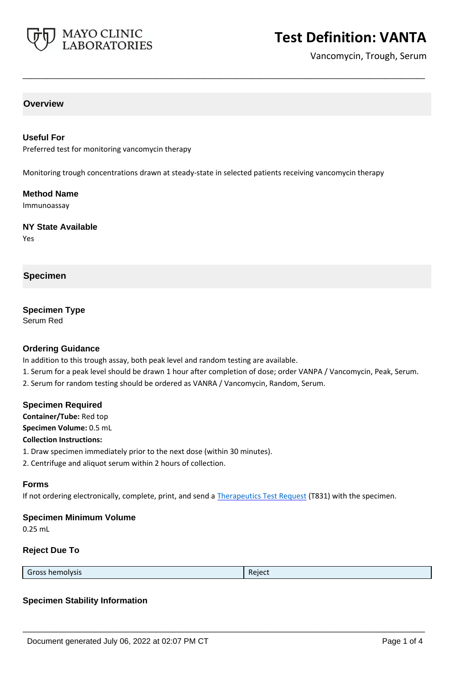

# **Test Definition: VANTA**

Vancomycin, Trough, Serum

## **Overview**

## **Useful For**

Preferred test for monitoring vancomycin therapy

Monitoring trough concentrations drawn at steady-state in selected patients receiving vancomycin therapy

**\_\_\_\_\_\_\_\_\_\_\_\_\_\_\_\_\_\_\_\_\_\_\_\_\_\_\_\_\_\_\_\_\_\_\_\_\_\_\_\_\_\_\_\_\_\_\_\_\_\_\_**

#### **Method Name**

Immunoassay

#### **NY State Available**

Yes

#### **Specimen**

## **Specimen Type**

Serum Red

## **Ordering Guidance**

In addition to this trough assay, both peak level and random testing are available.

- 1. Serum for a peak level should be drawn 1 hour after completion of dose; order VANPA / Vancomycin, Peak, Serum.
- 2. Serum for random testing should be ordered as VANRA / Vancomycin, Random, Serum.

#### **Specimen Required**

**Container/Tube:** Red top

**Specimen Volume:** 0.5 mL

#### **Collection Instructions:**

1. Draw specimen immediately prior to the next dose (within 30 minutes).

2. Centrifuge and aliquot serum within 2 hours of collection.

#### **Forms**

If not ordering electronically, complete, print, and send a [Therapeutics Test Request](https://www.mayocliniclabs.com/it-mmfiles/Therapeutics-Requisition-Request-Form_MC0767-19.pdf) (T831) with the specimen.

#### **Specimen Minimum Volume**

0.25 mL

#### **Reject Due To**

Gross hemolysis **Register Structure Community** Reject

**\_\_\_\_\_\_\_\_\_\_\_\_\_\_\_\_\_\_\_\_\_\_\_\_\_\_\_\_\_\_\_\_\_\_\_\_\_\_\_\_\_\_\_\_\_\_\_\_\_\_\_**

### **Specimen Stability Information**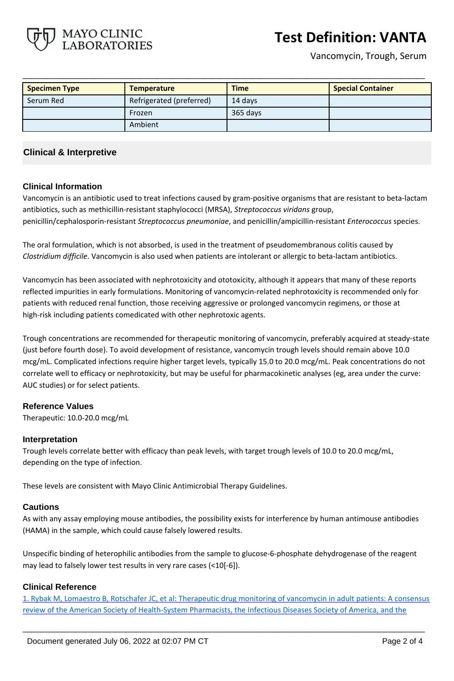**Test Definition: VANTA**

Vancomycin, Trough, Serum

| <b>Specimen Type</b> | <b>Temperature</b>       | <b>Time</b> | <b>Special Container</b> |
|----------------------|--------------------------|-------------|--------------------------|
| Serum Red            | Refrigerated (preferred) | 14 days     |                          |
|                      | Frozen                   | 365 days    |                          |
|                      | Ambient                  |             |                          |

**\_\_\_\_\_\_\_\_\_\_\_\_\_\_\_\_\_\_\_\_\_\_\_\_\_\_\_\_\_\_\_\_\_\_\_\_\_\_\_\_\_\_\_\_\_\_\_\_\_\_\_**

## **Clinical & Interpretive**

MAYO CLINIC ABORATORIES

## **Clinical Information**

Vancomycin is an antibiotic used to treat infections caused by gram-positive organisms that are resistant to beta-lactam antibiotics, such as methicillin-resistant staphylococci (MRSA), *Streptococcus viridans* group, penicillin/cephalosporin-resistant *Streptococcus pneumoniae*, and penicillin/ampicillin-resistant *Enterococcus* species.

The oral formulation, which is not absorbed, is used in the treatment of pseudomembranous colitis caused by *Clostridium difficile*. Vancomycin is also used when patients are intolerant or allergic to beta-lactam antibiotics.

Vancomycin has been associated with nephrotoxicity and ototoxicity, although it appears that many of these reports reflected impurities in early formulations. Monitoring of vancomycin-related nephrotoxicity is recommended only for patients with reduced renal function, those receiving aggressive or prolonged vancomycin regimens, or those at high-risk including patients comedicated with other nephrotoxic agents.

Trough concentrations are recommended for therapeutic monitoring of vancomycin, preferably acquired at steady-state (just before fourth dose). To avoid development of resistance, vancomycin trough levels should remain above 10.0 mcg/mL. Complicated infections require higher target levels, typically 15.0 to 20.0 mcg/mL. Peak concentrations do not correlate well to efficacy or nephrotoxicity, but may be useful for pharmacokinetic analyses (eg, area under the curve: AUC studies) or for select patients.

## **Reference Values**

Therapeutic: 10.0-20.0 mcg/mL

#### **Interpretation**

Trough levels correlate better with efficacy than peak levels, with target trough levels of 10.0 to 20.0 mcg/mL, depending on the type of infection.

These levels are consistent with Mayo Clinic Antimicrobial Therapy Guidelines.

#### **Cautions**

As with any assay employing mouse antibodies, the possibility exists for interference by human antimouse antibodies (HAMA) in the sample, which could cause falsely lowered results.

Unspecific binding of heterophilic antibodies from the sample to glucose-6-phosphate dehydrogenase of the reagent may lead to falsely lower test results in very rare cases (<10[-6]).

## **Clinical Reference**

1. Rybak M, Lomaestro B, Rotschafer JC, et al: Therapeutic drug monitoring of vancomycin in adult patients: A consensus review of the American Society of Health-System Pharmacists, the Infectious Diseases Society of America, and the

**\_\_\_\_\_\_\_\_\_\_\_\_\_\_\_\_\_\_\_\_\_\_\_\_\_\_\_\_\_\_\_\_\_\_\_\_\_\_\_\_\_\_\_\_\_\_\_\_\_\_\_**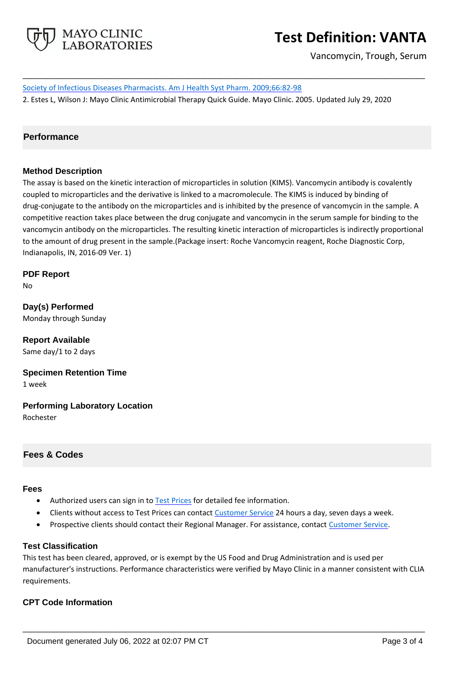

# **Test Definition: VANTA**

Vancomycin, Trough, Serum

Society of Infectious Diseases Pharmacists. Am J Health Syst Pharm. 2009;66:82-98 2. Estes L, Wilson J: Mayo Clinic Antimicrobial Therapy Quick Guide. Mayo Clinic. 2005. Updated July 29, 2020

**\_\_\_\_\_\_\_\_\_\_\_\_\_\_\_\_\_\_\_\_\_\_\_\_\_\_\_\_\_\_\_\_\_\_\_\_\_\_\_\_\_\_\_\_\_\_\_\_\_\_\_**

## **Performance**

## **Method Description**

The assay is based on the kinetic interaction of microparticles in solution (KIMS). Vancomycin antibody is covalently coupled to microparticles and the derivative is linked to a macromolecule. The KIMS is induced by binding of drug-conjugate to the antibody on the microparticles and is inhibited by the presence of vancomycin in the sample. A competitive reaction takes place between the drug conjugate and vancomycin in the serum sample for binding to the vancomycin antibody on the microparticles. The resulting kinetic interaction of microparticles is indirectly proportional to the amount of drug present in the sample.(Package insert: Roche Vancomycin reagent, Roche Diagnostic Corp, Indianapolis, IN, 2016-09 Ver. 1)

**PDF Report** No

**Day(s) Performed** Monday through Sunday

**Report Available** Same day/1 to 2 days

**Specimen Retention Time** 1 week

**Performing Laboratory Location** Rochester

**Fees & Codes**

#### **Fees**

- Authorized users can sign in to [Test Prices](https://www.mayocliniclabs.com/customer-service/client-price-lookup/index.html?unit_code=VANTA) for detailed fee information.
- Clients without access to Test Prices can contact [Customer Service](http://www.mayocliniclabs.com/customer-service/contacts.html) 24 hours a day, seven days a week.
- Prospective clients should contact their Regional Manager. For assistance, contact [Customer Service.](http://www.mayocliniclabs.com/customer-service/contacts.html)

#### **Test Classification**

This test has been cleared, approved, or is exempt by the US Food and Drug Administration and is used per manufacturer's instructions. Performance characteristics were verified by Mayo Clinic in a manner consistent with CLIA requirements.

**\_\_\_\_\_\_\_\_\_\_\_\_\_\_\_\_\_\_\_\_\_\_\_\_\_\_\_\_\_\_\_\_\_\_\_\_\_\_\_\_\_\_\_\_\_\_\_\_\_\_\_**

## **CPT Code Information**